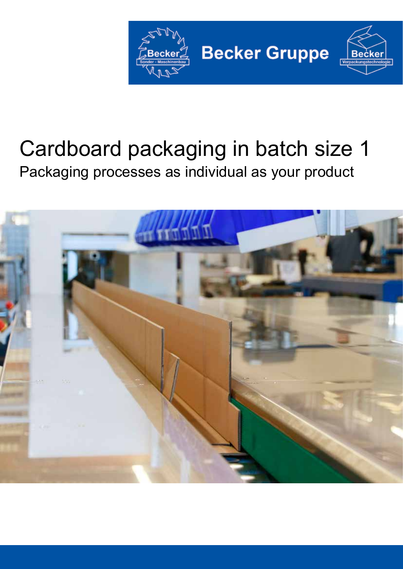

# Cardboard packaging in batch size 1 Packaging processes as individual as your product

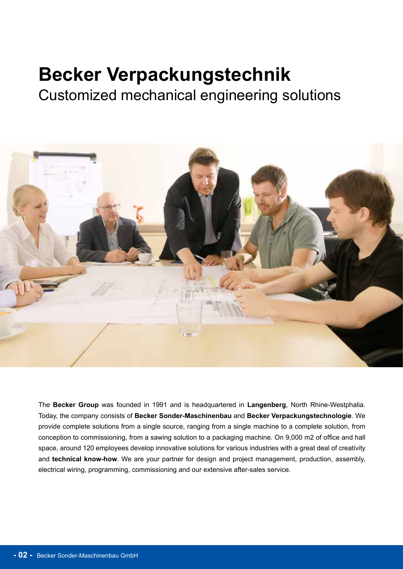## **Becker Verpackungstechnik**

Customized mechanical engineering solutions



The **Becker Group** was founded in 1991 and is headquartered in **Langenberg**, North Rhine-Westphalia. Today, the company consists of **Becker Sonder-Maschinenbau** and **Becker Verpackungstechnologie**. We provide complete solutions from a single source, ranging from a single machine to a complete solution, from conception to commissioning, from a sawing solution to a packaging machine. On 9,000 m2 of office and hall space, around 120 employees develop innovative solutions for various industries with a great deal of creativity and **technical know-how**. We are your partner for design and project management, production, assembly, electrical wiring, programming, commissioning and our extensive after-sales service.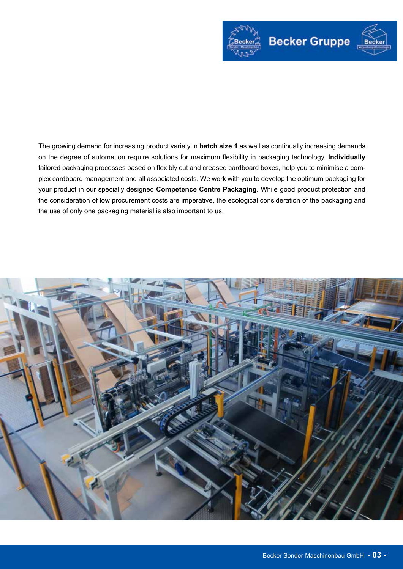

The growing demand for increasing product variety in **batch size 1** as well as continually increasing demands on the degree of automation require solutions for maximum flexibility in packaging technology. **Individually**  tailored packaging processes based on flexibly cut and creased cardboard boxes, help you to minimise a complex cardboard management and all associated costs. We work with you to develop the optimum packaging for your product in our specially designed **Competence Centre Packaging**. While good product protection and the consideration of low procurement costs are imperative, the ecological consideration of the packaging and the use of only one packaging material is also important to us.

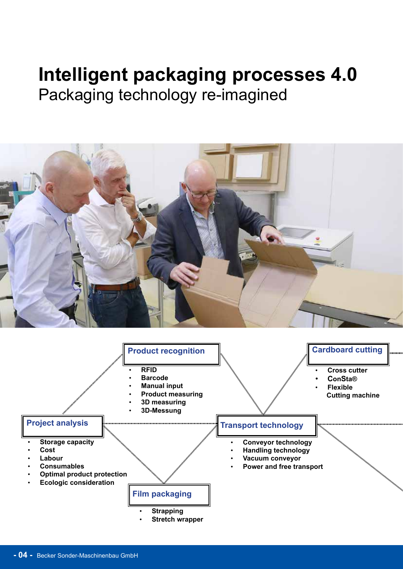### **Intelligent packaging processes 4.0**  Packaging technology re-imagined



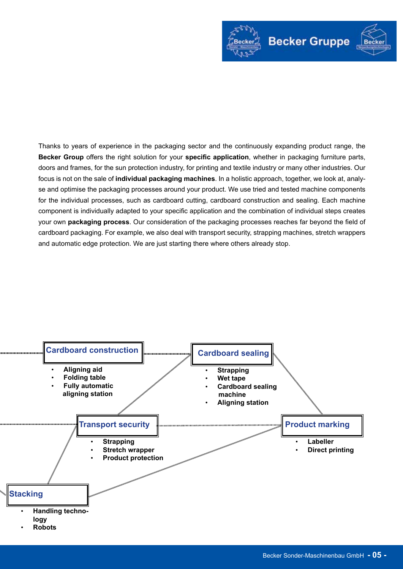

Thanks to years of experience in the packaging sector and the continuously expanding product range, the **Becker Group** offers the right solution for your **specific application**, whether in packaging furniture parts, doors and frames, for the sun protection industry, for printing and textile industry or many other industries. Our focus is not on the sale of **individual packaging machines**. In a holistic approach, together, we look at, analyse and optimise the packaging processes around your product. We use tried and tested machine components for the individual processes, such as cardboard cutting, cardboard construction and sealing. Each machine component is individually adapted to your specific application and the combination of individual steps creates your own **packaging process**. Our consideration of the packaging processes reaches far beyond the field of cardboard packaging. For example, we also deal with transport security, strapping machines, stretch wrappers and automatic edge protection. We are just starting there where others already stop.

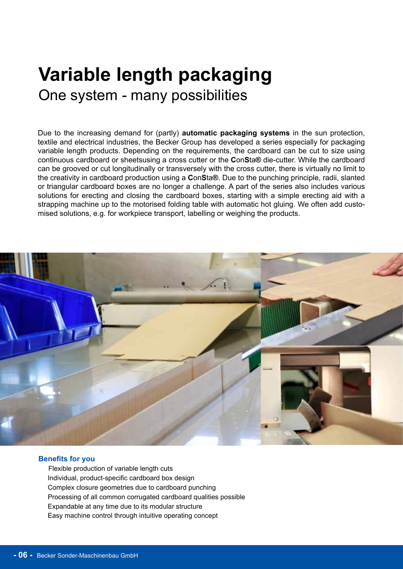### **Variable length packaging** One system - many possibilities

Due to the increasing demand for (partly) **automatic packaging systems** in the sun protection, textile and electrical industries, the Becker Group has developed a series especially for packaging variable length products. Depending on the requirements, the cardboard can be cut to size using continuous cardboard or sheetsusing a cross cutter or the **C**on**S**ta**®** die-cutter. While the cardboard can be grooved or cut longitudinally or transversely with the cross cutter, there is virtually no limit to the creativity in cardboard production using a **C**on**S**ta**®**. Due to the punching principle, radii, slanted or triangular cardboard boxes are no longer a challenge. A part of the series also includes various solutions for erecting and closing the cardboard boxes, starting with a simple erecting aid with a strapping machine up to the motorised folding table with automatic hot gluing. We often add customised solutions, e.g. for workpiece transport, labelling or weighing the products.



#### **Benefits for you**

Flexible production of variable length cuts Individual, product-specific cardboard box design Complex closure geometries due to cardboard punching Processing of all common corrugated cardboard qualities possible Expandable at any time due to its modular structure Easy machine control through intuitive operating concept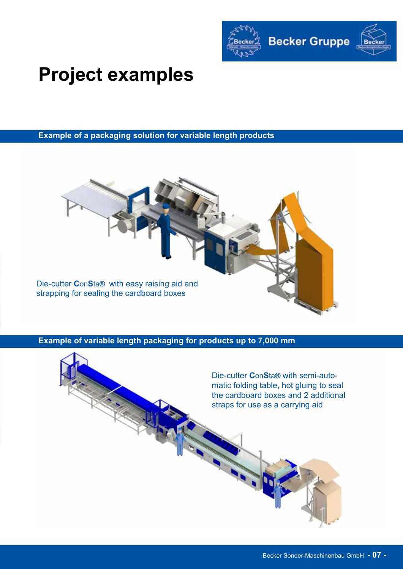

# **Project examples**

**Example of a packaging solution for variable length products**



**Example of variable length packaging for products up to 7,000 mm**

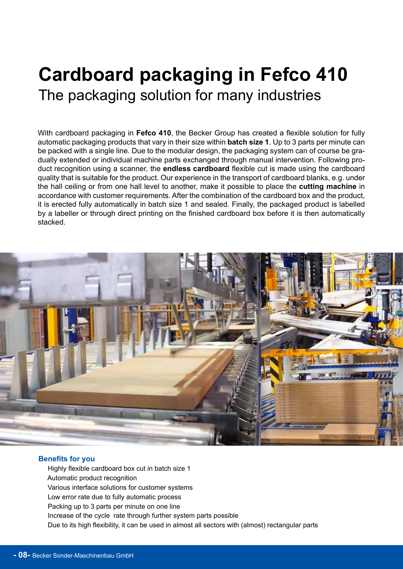### **Cardboard packaging in Fefco 410** The packaging solution for many industries

With cardboard packaging in **Fefco 410**, the Becker Group has created a flexible solution for fully automatic packaging products that vary in their size within **batch size 1**. Up to 3 parts per minute can be packed with a single line. Due to the modular design, the packaging system can of course be gradually extended or individual machine parts exchanged through manual intervention. Following product recognition using a scanner, the **endless cardboard** flexible cut is made using the cardboard quality that is suitable for the product. Our experience in the transport of cardboard blanks, e.g. under the hall ceiling or from one hall level to another, make it possible to place the **cutting machine** in accordance with customer requirements. After the combination of the cardboard box and the product, it is erected fully automatically in batch size 1 and sealed. Finally, the packaged product is labelled by a labeller or through direct printing on the finished cardboard box before it is then automatically stacked.



#### **Benefits for you**

 Highly flexible cardboard box cut in batch size 1 Automatic product recognition Various interface solutions for customer systems Low error rate due to fully automatic process Packing up to 3 parts per minute on one line Increase of the cycle rate through further system parts possible Due to its high flexibility, it can be used in almost all sectors with (almost) rectangular parts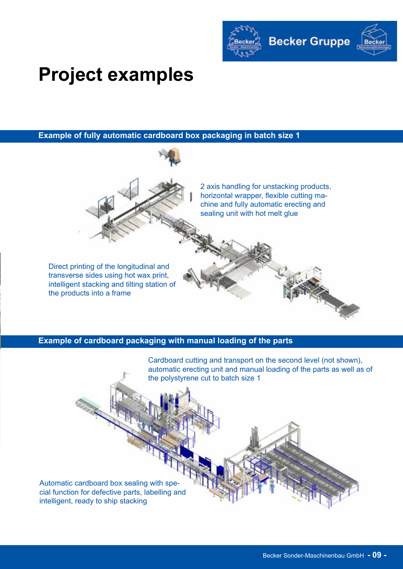

# **Project examples**

**Example of fully automatic cardboard box packaging in batch size 1**



**Example of cardboard packaging with manual loading of the parts**

Cardboard cutting and transport on the second level (not shown), automatic erecting unit and manual loading of the parts as well as of the polystyrene cut to batch size 1

Automatic cardboard box sealing with special function for defective parts, labelling and intelligent, ready to ship stacking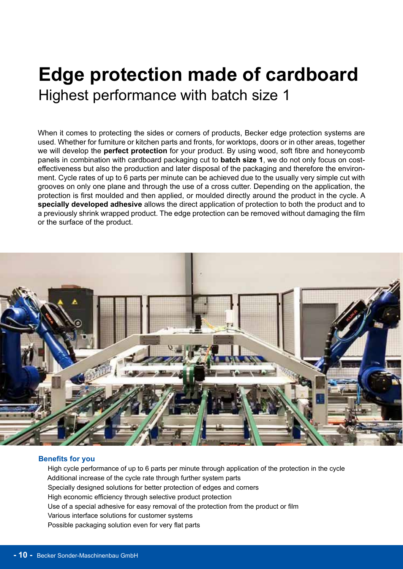### **Edge protection made of cardboard** Highest performance with batch size 1

When it comes to protecting the sides or corners of products, Becker edge protection systems are used. Whether for furniture or kitchen parts and fronts, for worktops, doors or in other areas, together we will develop the **perfect protection** for your product. By using wood, soft fibre and honeycomb panels in combination with cardboard packaging cut to **batch size 1**, we do not only focus on costeffectiveness but also the production and later disposal of the packaging and therefore the environment. Cycle rates of up to 6 parts per minute can be achieved due to the usually very simple cut with grooves on only one plane and through the use of a cross cutter. Depending on the application, the protection is first moulded and then applied, or moulded directly around the product in the cycle. A **specially developed adhesive** allows the direct application of protection to both the product and to a previously shrink wrapped product. The edge protection can be removed without damaging the film or the surface of the product.



#### **Benefits for you**

 High cycle performance of up to 6 parts per minute through application of the protection in the cycle Additional increase of the cycle rate through further system parts Specially designed solutions for better protection of edges and corners High economic efficiency through selective product protection Use of a special adhesive for easy removal of the protection from the product or film Various interface solutions for customer systems Possible packaging solution even for very flat parts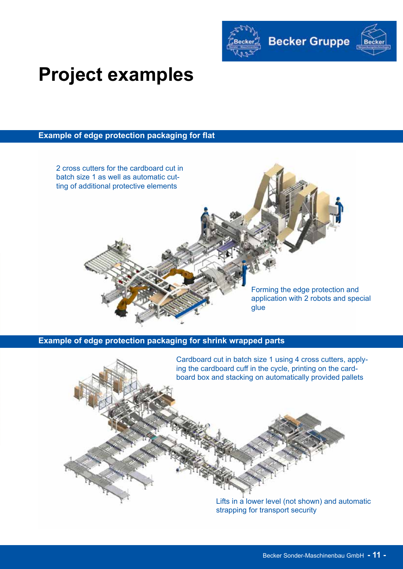

# **Project examples**

#### **Example of edge protection packaging for flat**



#### **Example of edge protection packaging for shrink wrapped parts**

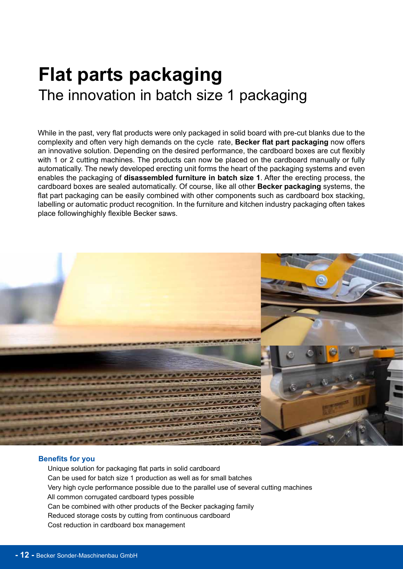### **Flat parts packaging**  The innovation in batch size 1 packaging

While in the past, very flat products were only packaged in solid board with pre-cut blanks due to the complexity and often very high demands on the cycle rate, **Becker flat part packaging** now offers an innovative solution. Depending on the desired performance, the cardboard boxes are cut flexibly with 1 or 2 cutting machines. The products can now be placed on the cardboard manually or fully automatically. The newly developed erecting unit forms the heart of the packaging systems and even enables the packaging of **disassembled furniture in batch size 1**. After the erecting process, the cardboard boxes are sealed automatically. Of course, like all other **Becker packaging** systems, the flat part packaging can be easily combined with other components such as cardboard box stacking, labelling or automatic product recognition. In the furniture and kitchen industry packaging often takes place followinghighly flexible Becker saws.



#### **Benefits for you**

 Unique solution for packaging flat parts in solid cardboard Can be used for batch size 1 production as well as for small batches Very high cycle performance possible due to the parallel use of several cutting machines All common corrugated cardboard types possible Can be combined with other products of the Becker packaging family Reduced storage costs by cutting from continuous cardboard Cost reduction in cardboard box management

j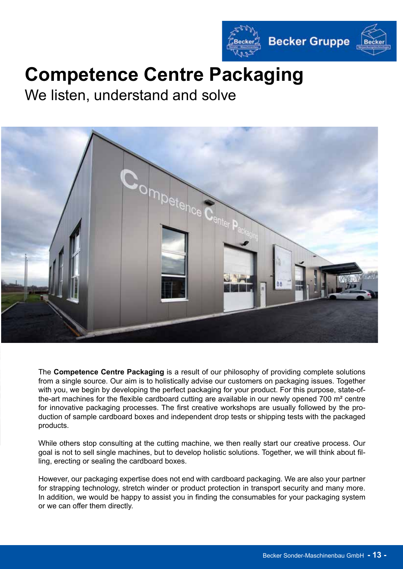

# **Competence Centre Packaging**

We listen, understand and solve



The **Competence Centre Packaging** is a result of our philosophy of providing complete solutions from a single source. Our aim is to holistically advise our customers on packaging issues. Together with you, we begin by developing the perfect packaging for your product. For this purpose, state-ofthe-art machines for the flexible cardboard cutting are available in our newly opened 700 m² centre for innovative packaging processes. The first creative workshops are usually followed by the production of sample cardboard boxes and independent drop tests or shipping tests with the packaged products.

While others stop consulting at the cutting machine, we then really start our creative process. Our goal is not to sell single machines, but to develop holistic solutions. Together, we will think about filling, erecting or sealing the cardboard boxes.

However, our packaging expertise does not end with cardboard packaging. We are also your partner for strapping technology, stretch winder or product protection in transport security and many more. In addition, we would be happy to assist you in finding the consumables for your packaging system or we can offer them directly.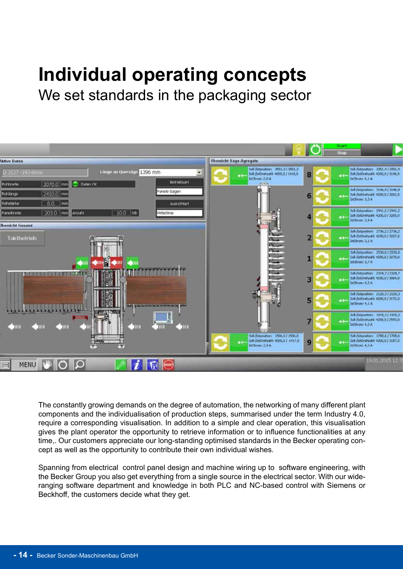# **Individual operating concepts**

We set standards in the packaging sector



The constantly growing demands on the degree of automation, the networking of many different plant components and the individualisation of production steps, summarised under the term Industry 4.0, require a corresponding visualisation. In addition to a simple and clear operation, this visualisation gives the plant operator the opportunity to retrieve information or to influence functionalities at any time,. Our customers appreciate our long-standing optimised standards in the Becker operating concept as well as the opportunity to contribute their own individual wishes.

Spanning from electrical control panel design and machine wiring up to software engineering, with the Becker Group you also get everything from a single source in the electrical sector. With our wideranging software department and knowledge in both PLC and NC-based control with Siemens or Beckhoff, the customers decide what they get.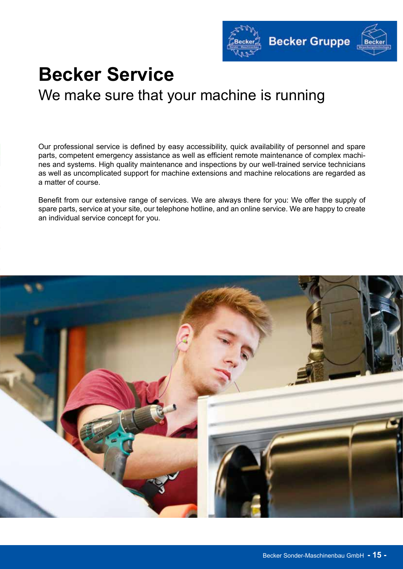

### **Becker Service**  We make sure that your machine is running

Our professional service is defined by easy accessibility, quick availability of personnel and spare parts, competent emergency assistance as well as efficient remote maintenance of complex machines and systems. High quality maintenance and inspections by our well-trained service technicians as well as uncomplicated support for machine extensions and machine relocations are regarded as a matter of course.

Benefit from our extensive range of services. We are always there for you: We offer the supply of spare parts, service at your site, our telephone hotline, and an online service. We are happy to create an individual service concept for you.